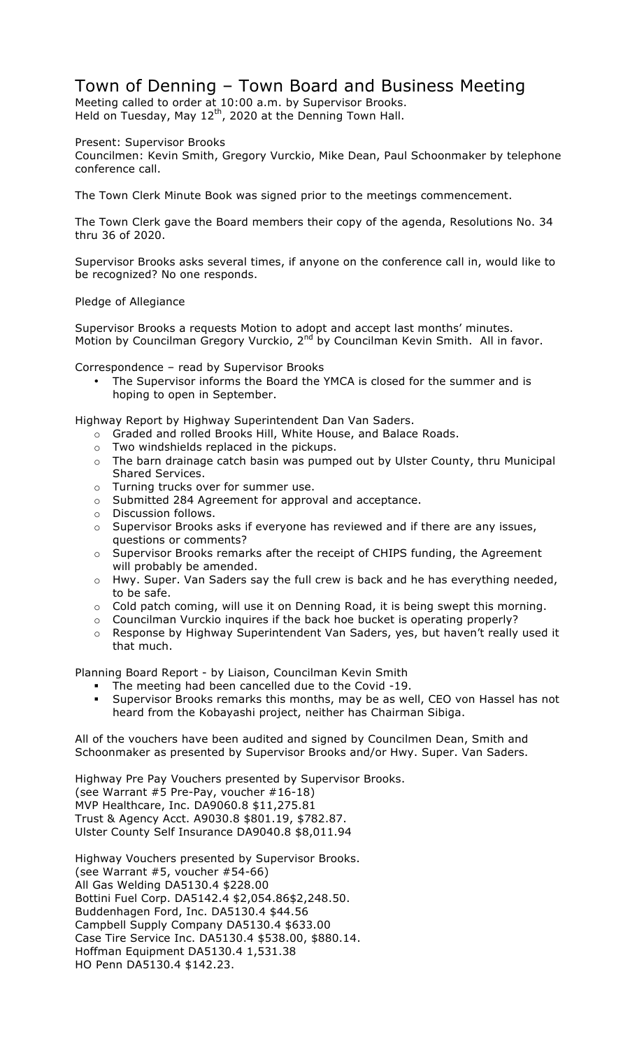## Town of Denning – Town Board and Business Meeting

Meeting called to order at 10:00 a.m. by Supervisor Brooks. Held on Tuesday, May  $12<sup>th</sup>$ , 2020 at the Denning Town Hall.

Present: Supervisor Brooks

Councilmen: Kevin Smith, Gregory Vurckio, Mike Dean, Paul Schoonmaker by telephone conference call.

The Town Clerk Minute Book was signed prior to the meetings commencement.

The Town Clerk gave the Board members their copy of the agenda, Resolutions No. 34 thru 36 of 2020.

Supervisor Brooks asks several times, if anyone on the conference call in, would like to be recognized? No one responds.

Pledge of Allegiance

Supervisor Brooks a requests Motion to adopt and accept last months' minutes. Motion by Councilman Gregory Vurckio, 2<sup>nd</sup> by Councilman Kevin Smith. All in favor.

Correspondence – read by Supervisor Brooks

• The Supervisor informs the Board the YMCA is closed for the summer and is hoping to open in September.

Highway Report by Highway Superintendent Dan Van Saders.

- o Graded and rolled Brooks Hill, White House, and Balace Roads.
- o Two windshields replaced in the pickups.
- $\circ$  The barn drainage catch basin was pumped out by Ulster County, thru Municipal Shared Services.
- o Turning trucks over for summer use.
- o Submitted 284 Agreement for approval and acceptance.
- o Discussion follows.
- $\circ$  Supervisor Brooks asks if everyone has reviewed and if there are any issues, questions or comments?
- o Supervisor Brooks remarks after the receipt of CHIPS funding, the Agreement will probably be amended.
- o Hwy. Super. Van Saders say the full crew is back and he has everything needed, to be safe.
- o Cold patch coming, will use it on Denning Road, it is being swept this morning.
- o Councilman Vurckio inquires if the back hoe bucket is operating properly?
- o Response by Highway Superintendent Van Saders, yes, but haven't really used it that much.

Planning Board Report - by Liaison, Councilman Kevin Smith

- The meeting had been cancelled due to the Covid -19.
- ! Supervisor Brooks remarks this months, may be as well, CEO von Hassel has not heard from the Kobayashi project, neither has Chairman Sibiga.

All of the vouchers have been audited and signed by Councilmen Dean, Smith and Schoonmaker as presented by Supervisor Brooks and/or Hwy. Super. Van Saders.

Highway Pre Pay Vouchers presented by Supervisor Brooks. (see Warrant #5 Pre-Pay, voucher #16-18) MVP Healthcare, Inc. DA9060.8 \$11,275.81 Trust & Agency Acct. A9030.8 \$801.19, \$782.87. Ulster County Self Insurance DA9040.8 \$8,011.94

Highway Vouchers presented by Supervisor Brooks. (see Warrant #5, voucher #54-66) All Gas Welding DA5130.4 \$228.00 Bottini Fuel Corp. DA5142.4 \$2,054.86\$2,248.50. Buddenhagen Ford, Inc. DA5130.4 \$44.56 Campbell Supply Company DA5130.4 \$633.00 Case Tire Service Inc. DA5130.4 \$538.00, \$880.14. Hoffman Equipment DA5130.4 1,531.38 HO Penn DA5130.4 \$142.23.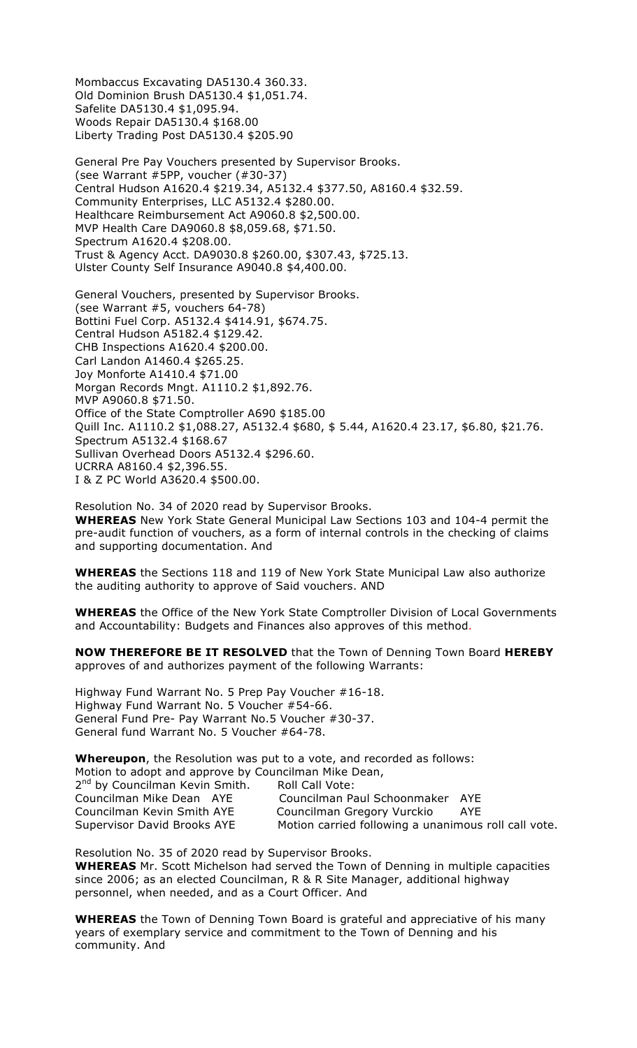Mombaccus Excavating DA5130.4 360.33. Old Dominion Brush DA5130.4 \$1,051.74. Safelite DA5130.4 \$1,095.94. Woods Repair DA5130.4 \$168.00 Liberty Trading Post DA5130.4 \$205.90

General Pre Pay Vouchers presented by Supervisor Brooks. (see Warrant #5PP, voucher (#30-37) Central Hudson A1620.4 \$219.34, A5132.4 \$377.50, A8160.4 \$32.59. Community Enterprises, LLC A5132.4 \$280.00. Healthcare Reimbursement Act A9060.8 \$2,500.00. MVP Health Care DA9060.8 \$8,059.68, \$71.50. Spectrum A1620.4 \$208.00. Trust & Agency Acct. DA9030.8 \$260.00, \$307.43, \$725.13. Ulster County Self Insurance A9040.8 \$4,400.00.

General Vouchers, presented by Supervisor Brooks. (see Warrant #5, vouchers 64-78) Bottini Fuel Corp. A5132.4 \$414.91, \$674.75. Central Hudson A5182.4 \$129.42. CHB Inspections A1620.4 \$200.00. Carl Landon A1460.4 \$265.25. Joy Monforte A1410.4 \$71.00 Morgan Records Mngt. A1110.2 \$1,892.76. MVP A9060.8 \$71.50. Office of the State Comptroller A690 \$185.00 Quill Inc. A1110.2 \$1,088.27, A5132.4 \$680, \$ 5.44, A1620.4 23.17, \$6.80, \$21.76. Spectrum A5132.4 \$168.67 Sullivan Overhead Doors A5132.4 \$296.60. UCRRA A8160.4 \$2,396.55. I & Z PC World A3620.4 \$500.00.

Resolution No. 34 of 2020 read by Supervisor Brooks. **WHEREAS** New York State General Municipal Law Sections 103 and 104-4 permit the pre-audit function of vouchers, as a form of internal controls in the checking of claims and supporting documentation. And

**WHEREAS** the Sections 118 and 119 of New York State Municipal Law also authorize the auditing authority to approve of Said vouchers. AND

**WHEREAS** the Office of the New York State Comptroller Division of Local Governments and Accountability: Budgets and Finances also approves of this method.

**NOW THEREFORE BE IT RESOLVED** that the Town of Denning Town Board **HEREBY** approves of and authorizes payment of the following Warrants:

Highway Fund Warrant No. 5 Prep Pay Voucher #16-18. Highway Fund Warrant No. 5 Voucher #54-66. General Fund Pre- Pay Warrant No.5 Voucher #30-37. General fund Warrant No. 5 Voucher #64-78.

**Whereupon**, the Resolution was put to a vote, and recorded as follows: Motion to adopt and approve by Councilman Mike Dean, 2<sup>nd</sup> by Councilman Kevin Smith. Roll Call Vote: Councilman Mike Dean AYE Councilman Paul Schoonmaker AYE Councilman Kevin Smith AYE Councilman Gregory Vurckio AYE<br>Supervisor David Brooks AYE Motion carried following a unanimous Motion carried following a unanimous roll call vote.

Resolution No. 35 of 2020 read by Supervisor Brooks. **WHEREAS** Mr. Scott Michelson had served the Town of Denning in multiple capacities since 2006; as an elected Councilman, R & R Site Manager, additional highway personnel, when needed, and as a Court Officer. And

**WHEREAS** the Town of Denning Town Board is grateful and appreciative of his many years of exemplary service and commitment to the Town of Denning and his community. And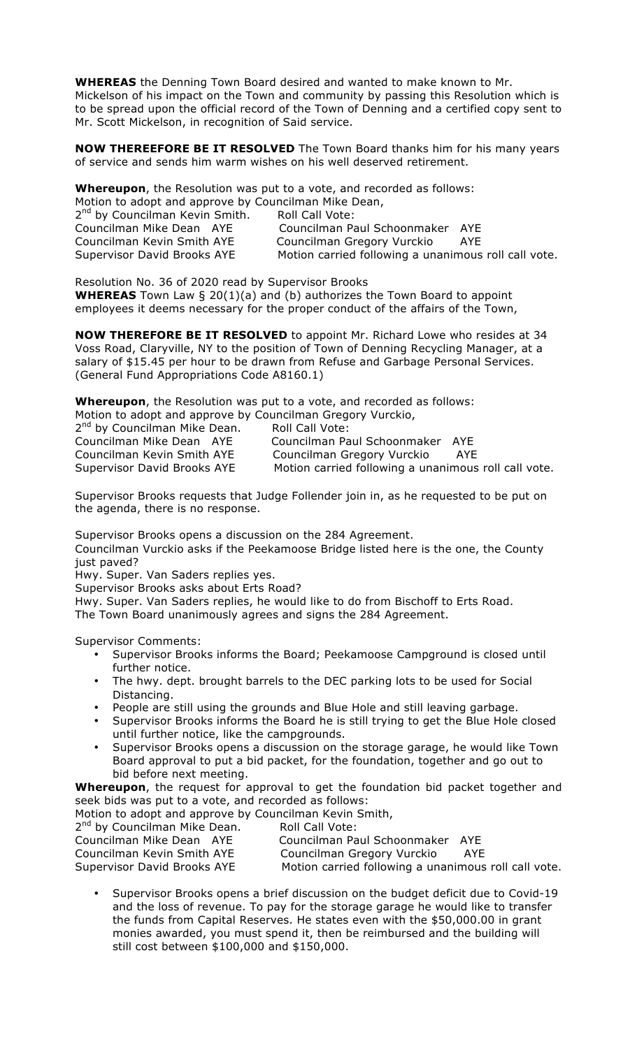**WHEREAS** the Denning Town Board desired and wanted to make known to Mr. Mickelson of his impact on the Town and community by passing this Resolution which is to be spread upon the official record of the Town of Denning and a certified copy sent to Mr. Scott Mickelson, in recognition of Said service.

**NOW THEREEFORE BE IT RESOLVED** The Town Board thanks him for his many years of service and sends him warm wishes on his well deserved retirement.

**Whereupon**, the Resolution was put to a vote, and recorded as follows:

| Motion to adopt and approve by Councilman Mike Dean, |                                                      |     |  |  |  |
|------------------------------------------------------|------------------------------------------------------|-----|--|--|--|
| 2 <sup>nd</sup> by Councilman Kevin Smith.           | Roll Call Vote:                                      |     |  |  |  |
| Councilman Mike Dean AYE                             | Councilman Paul Schoonmaker AYE                      |     |  |  |  |
| Councilman Kevin Smith AYE                           | Councilman Gregory Vurckio                           | AYE |  |  |  |
| Supervisor David Brooks AYE                          | Motion carried following a unanimous roll call vote. |     |  |  |  |

Resolution No. 36 of 2020 read by Supervisor Brooks **WHEREAS** Town Law § 20(1)(a) and (b) authorizes the Town Board to appoint employees it deems necessary for the proper conduct of the affairs of the Town,

**NOW THEREFORE BE IT RESOLVED** to appoint Mr. Richard Lowe who resides at 34 Voss Road, Claryville, NY to the position of Town of Denning Recycling Manager, at a salary of \$15.45 per hour to be drawn from Refuse and Garbage Personal Services. (General Fund Appropriations Code A8160.1)

**Whereupon**, the Resolution was put to a vote, and recorded as follows:

|  | Motion to adopt and approve by Councilman Gregory Vurckio, |  |
|--|------------------------------------------------------------|--|
|  |                                                            |  |

| 2 <sup>nd</sup> by Councilman Mike Dean. | Roll Call Vote:                                      |     |
|------------------------------------------|------------------------------------------------------|-----|
| Councilman Mike Dean AYE                 | Councilman Paul Schoonmaker AYE                      |     |
| Councilman Kevin Smith AYE               | Councilman Gregory Vurckio                           | AYE |
| Supervisor David Brooks AYE              | Motion carried following a unanimous roll call vote. |     |

Supervisor Brooks requests that Judge Follender join in, as he requested to be put on the agenda, there is no response.

Supervisor Brooks opens a discussion on the 284 Agreement.

Councilman Vurckio asks if the Peekamoose Bridge listed here is the one, the County just paved?

Hwy. Super. Van Saders replies yes.

Supervisor Brooks asks about Erts Road?

Hwy. Super. Van Saders replies, he would like to do from Bischoff to Erts Road.

The Town Board unanimously agrees and signs the 284 Agreement.

Supervisor Comments:

- Supervisor Brooks informs the Board; Peekamoose Campground is closed until further notice.
- The hwy. dept. brought barrels to the DEC parking lots to be used for Social Distancing.
- People are still using the grounds and Blue Hole and still leaving garbage.
- Supervisor Brooks informs the Board he is still trying to get the Blue Hole closed until further notice, like the campgrounds.
- Supervisor Brooks opens a discussion on the storage garage, he would like Town Board approval to put a bid packet, for the foundation, together and go out to bid before next meeting.

**Whereupon**, the request for approval to get the foundation bid packet together and seek bids was put to a vote, and recorded as follows:

Motion to adopt and approve by Councilman Kevin Smith,

| 2 <sup>nd</sup> by Councilman Mike Dean. | Roll Call Vote:                                      |     |
|------------------------------------------|------------------------------------------------------|-----|
| Councilman Mike Dean AYE                 | Councilman Paul Schoonmaker AYE                      |     |
| Councilman Kevin Smith AYE               | Councilman Gregory Vurckio                           | AYE |
| <b>Supervisor David Brooks AYE</b>       | Motion carried following a unanimous roll call vote. |     |
|                                          |                                                      |     |

• Supervisor Brooks opens a brief discussion on the budget deficit due to Covid-19 and the loss of revenue. To pay for the storage garage he would like to transfer the funds from Capital Reserves. He states even with the \$50,000.00 in grant monies awarded, you must spend it, then be reimbursed and the building will still cost between \$100,000 and \$150,000.